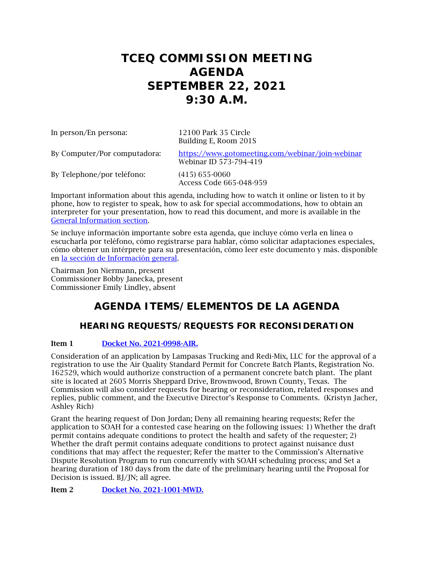# **TCEQ COMMISSION MEETING AGENDA SEPTEMBER 22, 2021 9:30 A.M.**

| In person/En persona:        | 12100 Park 35 Circle<br>Building E, Room 201S                              |
|------------------------------|----------------------------------------------------------------------------|
| By Computer/Por computadora: | https://www.gotomeeting.com/webinar/join-webinar<br>Webinar ID 573-794-419 |
| By Telephone/por teléfono:   | $(415)$ 655-0060<br>Access Code 665-048-959                                |

Important information about this agenda, including how to watch it online or listen to it by phone, how to register to speak, how to ask for special accommodations, how to obtain an interpreter for your presentation, how to read this document, and more is available in the General Information section.

Se incluye información importante sobre esta agenda, que incluye cómo verla en línea o escucharla por teléfono, cómo registrarse para hablar, cómo solicitar adaptaciones especiales, cómo obtener un intérprete para su presentación, cómo leer este documento y más. disponible en la sección de Información general.

Chairman Jon Niermann, present Commissioner Bobby Janecka, present Commissioner Emily Lindley, absent

# **AGENDA ITEMS/ELEMENTOS DE LA AGENDA**

## **HEARING REQUESTS/REQUESTS FOR RECONSIDERATION**

## Item 1 [Docket No. 2021-0998-AIR.](http://www.tceq.texas.gov/assets/public/comm_exec/agendas/comm/backup/Agendas/2021/09-22-2021/lampasas.pdf)

Consideration of an application by Lampasas Trucking and Redi-Mix, LLC for the approval of a registration to use the Air Quality Standard Permit for Concrete Batch Plants, Registration No. 162529, which would authorize construction of a permanent concrete batch plant. The plant site is located at 2605 Morris Sheppard Drive, Brownwood, Brown County, Texas. The Commission will also consider requests for hearing or reconsideration, related responses and replies, public comment, and the Executive Director's Response to Comments. (Kristyn Jacher, Ashley Rich)

Grant the hearing request of Don Jordan; Deny all remaining hearing requests; Refer the application to SOAH for a contested case hearing on the following issues: 1) Whether the draft permit contains adequate conditions to protect the health and safety of the requester; 2) Whether the draft permit contains adequate conditions to protect against nuisance dust conditions that may affect the requester; Refer the matter to the Commission's Alternative Dispute Resolution Program to run concurrently with SOAH scheduling process; and Set a hearing duration of 180 days from the date of the preliminary hearing until the Proposal for Decision is issued. BJ/JN; all agree.

Item 2 [Docket No. 2021-1001-MWD.](http://www.tceq.texas.gov/assets/public/comm_exec/agendas/comm/backup/Agendas/2021/09-22-2021/granbury.pdf)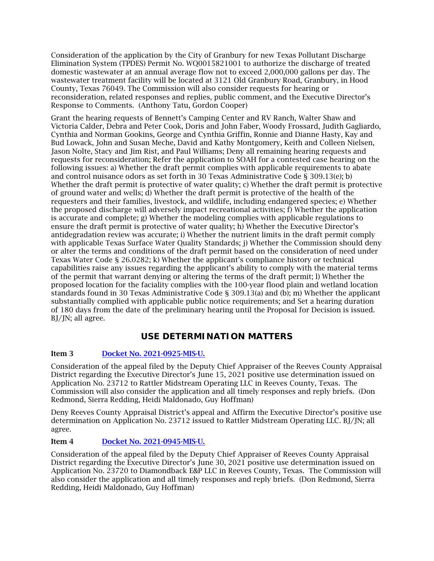Consideration of the application by the City of Granbury for new Texas Pollutant Discharge Elimination System (TPDES) Permit No. WQ0015821001 to authorize the discharge of treated domestic wastewater at an annual average flow not to exceed 2,000,000 gallons per day. The wastewater treatment facility will be located at 3121 Old Granbury Road, Granbury, in Hood County, Texas 76049. The Commission will also consider requests for hearing or reconsideration, related responses and replies, public comment, and the Executive Director's Response to Comments. (Anthony Tatu, Gordon Cooper)

Grant the hearing requests of Bennett's Camping Center and RV Ranch, Walter Shaw and Victoria Calder, Debra and Peter Cook, Doris and John Faber, Woody Frossard, Judith Gagliardo, Cynthia and Norman Gookins, George and Cynthia Griffin, Ronnie and Dianne Hasty, Kay and Bud Lowack, John and Susan Meche, David and Kathy Montgomery, Keith and Colleen Nielsen, Jason Nolte, Stacy and Jim Rist, and Paul Williams; Deny all remaining hearing requests and requests for reconsideration; Refer the application to SOAH for a contested case hearing on the following issues: a) Whether the draft permit complies with applicable requirements to abate and control nuisance odors as set forth in 30 Texas Administrative Code § 309.13(e); b) Whether the draft permit is protective of water quality; c) Whether the draft permit is protective of ground water and wells; d) Whether the draft permit is protective of the health of the requesters and their families, livestock, and wildlife, including endangered species; e) Whether the proposed discharge will adversely impact recreational activities; f) Whether the application is accurate and complete; g) Whether the modeling complies with applicable regulations to ensure the draft permit is protective of water quality; h) Whether the Executive Director's antidegradation review was accurate; i) Whether the nutrient limits in the draft permit comply with applicable Texas Surface Water Quality Standards; j) Whether the Commission should deny or alter the terms and conditions of the draft permit based on the consideration of need under Texas Water Code § 26.0282; k) Whether the applicant's compliance history or technical capabilities raise any issues regarding the applicant's ability to comply with the material terms of the permit that warrant denying or altering the terms of the draft permit; l) Whether the proposed location for the faciality complies with the 100-year flood plain and wetland location standards found in 30 Texas Administrative Code § 309.13(a) and (b); m) Whether the applicant substantially complied with applicable public notice requirements; and Set a hearing duration of 180 days from the date of the preliminary hearing until the Proposal for Decision is issued. BJ/JN; all agree.

## **USE DETERMINATION MATTERS**

## Item 3 [Docket No. 2021-0925-MIS-U.](http://www.tceq.texas.gov/assets/public/comm_exec/agendas/comm/backup/Agendas/2021/09-22-2021/rattler.pdf)

Consideration of the appeal filed by the Deputy Chief Appraiser of the Reeves County Appraisal District regarding the Executive Director's June 15, 2021 positive use determination issued on Application No. 23712 to Rattler Midstream Operating LLC in Reeves County, Texas. The Commission will also consider the application and all timely responses and reply briefs. (Don Redmond, Sierra Redding, Heidi Maldonado, Guy Hoffman)

Deny Reeves County Appraisal District's appeal and Affirm the Executive Director's positive use determination on Application No. 23712 issued to Rattler Midstream Operating LLC. BJ/JN; all agree.

## Item 4 [Docket No. 2021-0945-MIS-U.](http://www.tceq.texas.gov/assets/public/comm_exec/agendas/comm/backup/Agendas/2021/09-22-2021/diamondback.pdf)

Consideration of the appeal filed by the Deputy Chief Appraiser of Reeves County Appraisal District regarding the Executive Director's June 30, 2021 positive use determination issued on Application No. 23720 to Diamondback E&P LLC in Reeves County, Texas. The Commission will also consider the application and all timely responses and reply briefs. (Don Redmond, Sierra Redding, Heidi Maldonado, Guy Hoffman)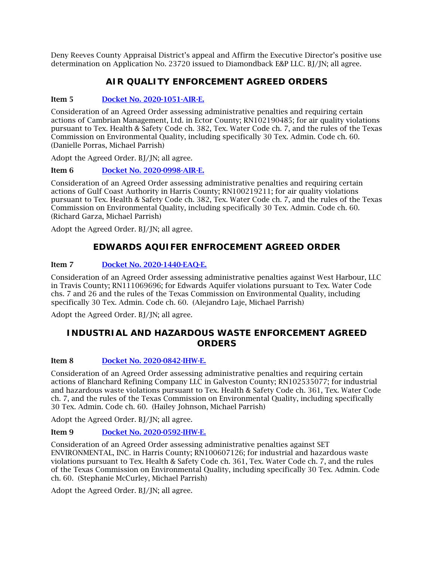Deny Reeves County Appraisal District's appeal and Affirm the Executive Director's positive use determination on Application No. 23720 issued to Diamondback E&P LLC. BJ/JN; all agree.

## **AIR QUALITY ENFORCEMENT AGREED ORDERS**

## Item 5 [Docket No. 2020-1051-AIR-E.](http://www.tceq.texas.gov/assets/public/comm_exec/agendas/comm/backup/Agendas/2021/09-22-2021/1051AIR.pdf)

Consideration of an Agreed Order assessing administrative penalties and requiring certain actions of Cambrian Management, Ltd. in Ector County; RN102190485; for air quality violations pursuant to Tex. Health & Safety Code ch. 382, Tex. Water Code ch. 7, and the rules of the Texas Commission on Environmental Quality, including specifically 30 Tex. Admin. Code ch. 60. (Danielle Porras, Michael Parrish)

Adopt the Agreed Order. BJ/JN; all agree.

## Item 6 [Docket No. 2020-0998-AIR-E.](http://www.tceq.texas.gov/assets/public/comm_exec/agendas/comm/backup/Agendas/2021/09-22-2021/0998AIR.pdf)

Consideration of an Agreed Order assessing administrative penalties and requiring certain actions of Gulf Coast Authority in Harris County; RN100219211; for air quality violations pursuant to Tex. Health & Safety Code ch. 382, Tex. Water Code ch. 7, and the rules of the Texas Commission on Environmental Quality, including specifically 30 Tex. Admin. Code ch. 60. (Richard Garza, Michael Parrish)

Adopt the Agreed Order. BJ/JN; all agree.

## **EDWARDS AQUIFER ENFROCEMENT AGREED ORDER**

## Item 7 [Docket No. 2020-1440-EAQ-E.](http://www.tceq.texas.gov/assets/public/comm_exec/agendas/comm/backup/Agendas/2021/09-22-2021/1440EAQ.pdf)

Consideration of an Agreed Order assessing administrative penalties against West Harbour, LLC in Travis County; RN111069696; for Edwards Aquifer violations pursuant to Tex. Water Code chs. 7 and 26 and the rules of the Texas Commission on Environmental Quality, including specifically 30 Tex. Admin. Code ch. 60. (Alejandro Laje, Michael Parrish)

Adopt the Agreed Order. BJ/JN; all agree.

## **INDUSTRIAL AND HAZARDOUS WASTE ENFORCEMENT AGREED ORDERS**

## Item 8 [Docket No. 2020-0842-IHW-E.](http://www.tceq.texas.gov/assets/public/comm_exec/agendas/comm/backup/Agendas/2021/09-22-2021/0842IHW.pdf)

Consideration of an Agreed Order assessing administrative penalties and requiring certain actions of Blanchard Refining Company LLC in Galveston County; RN102535077; for industrial and hazardous waste violations pursuant to Tex. Health & Safety Code ch. 361, Tex. Water Code ch. 7, and the rules of the Texas Commission on Environmental Quality, including specifically 30 Tex. Admin. Code ch. 60. (Hailey Johnson, Michael Parrish)

Adopt the Agreed Order. BJ/JN; all agree.

## Item 9 [Docket No. 2020-0592-IHW-E.](http://www.tceq.texas.gov/assets/public/comm_exec/agendas/comm/backup/Agendas/2021/09-22-2021/0592IHW.pdf)

Consideration of an Agreed Order assessing administrative penalties against SET ENVIRONMENTAL, INC. in Harris County; RN100607126; for industrial and hazardous waste violations pursuant to Tex. Health & Safety Code ch. 361, Tex. Water Code ch. 7, and the rules of the Texas Commission on Environmental Quality, including specifically 30 Tex. Admin. Code ch. 60. (Stephanie McCurley, Michael Parrish)

Adopt the Agreed Order. BJ/JN; all agree.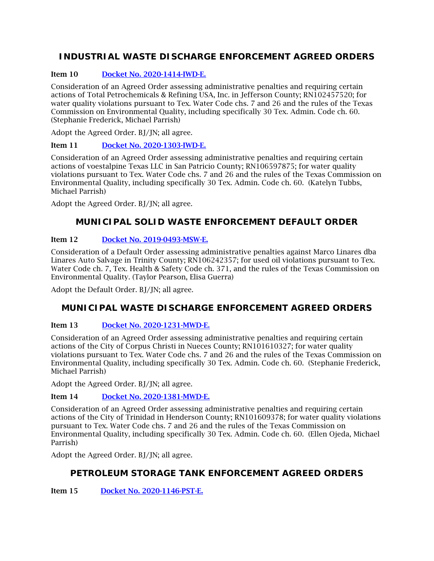## **INDUSTRIAL WASTE DISCHARGE ENFORCEMENT AGREED ORDERS**

## Item 10 [Docket No. 2020-1414-IWD-E.](http://www.tceq.texas.gov/assets/public/comm_exec/agendas/comm/backup/Agendas/2021/09-22-2021/1414IWD.pdf)

Consideration of an Agreed Order assessing administrative penalties and requiring certain actions of Total Petrochemicals & Refining USA, Inc. in Jefferson County; RN102457520; for water quality violations pursuant to Tex. Water Code chs. 7 and 26 and the rules of the Texas Commission on Environmental Quality, including specifically 30 Tex. Admin. Code ch. 60. (Stephanie Frederick, Michael Parrish)

Adopt the Agreed Order. BJ/JN; all agree.

## Item 11 [Docket No. 2020-1303-IWD-E.](http://www.tceq.texas.gov/assets/public/comm_exec/agendas/comm/backup/Agendas/2021/09-22-2021/1303IWD.pdf)

Consideration of an Agreed Order assessing administrative penalties and requiring certain actions of voestalpine Texas LLC in San Patricio County; RN106597875; for water quality violations pursuant to Tex. Water Code chs. 7 and 26 and the rules of the Texas Commission on Environmental Quality, including specifically 30 Tex. Admin. Code ch. 60. (Katelyn Tubbs, Michael Parrish)

Adopt the Agreed Order. BJ/JN; all agree.

## **MUNICIPAL SOLID WASTE ENFORCEMENT DEFAULT ORDER**

## Item 12 [Docket No. 2019-0493-MSW-E.](http://www.tceq.texas.gov/assets/public/comm_exec/agendas/comm/backup/Agendas/2021/09-22-2021/0493MSW.pdf)

Consideration of a Default Order assessing administrative penalties against Marco Linares dba Linares Auto Salvage in Trinity County; RN106242357; for used oil violations pursuant to Tex. Water Code ch. 7, Tex. Health & Safety Code ch. 371, and the rules of the Texas Commission on Environmental Quality. (Taylor Pearson, Elisa Guerra)

Adopt the Default Order. BJ/JN; all agree.

## **MUNICIPAL WASTE DISCHARGE ENFORCEMENT AGREED ORDERS**

## Item 13 [Docket No. 2020-1231-MWD-E.](http://www.tceq.texas.gov/assets/public/comm_exec/agendas/comm/backup/Agendas/2021/09-22-2021/1231MWD.pdf)

Consideration of an Agreed Order assessing administrative penalties and requiring certain actions of the City of Corpus Christi in Nueces County; RN101610327; for water quality violations pursuant to Tex. Water Code chs. 7 and 26 and the rules of the Texas Commission on Environmental Quality, including specifically 30 Tex. Admin. Code ch. 60. (Stephanie Frederick, Michael Parrish)

Adopt the Agreed Order. BJ/JN; all agree.

## Item 14 [Docket No. 2020-1381-MWD-E.](http://www.tceq.texas.gov/assets/public/comm_exec/agendas/comm/backup/Agendas/2021/09-22-2021/1381MWD.pdf)

Consideration of an Agreed Order assessing administrative penalties and requiring certain actions of the City of Trinidad in Henderson County; RN101609378; for water quality violations pursuant to Tex. Water Code chs. 7 and 26 and the rules of the Texas Commission on Environmental Quality, including specifically 30 Tex. Admin. Code ch. 60. (Ellen Ojeda, Michael Parrish)

Adopt the Agreed Order. BJ/JN; all agree.

## **PETROLEUM STORAGE TANK ENFORCEMENT AGREED ORDERS**

Item 15 Docket [No. 2020-1146-PST-E.](http://www.tceq.texas.gov/assets/public/comm_exec/agendas/comm/backup/Agendas/2021/09-22-2021/1146PST.pdf)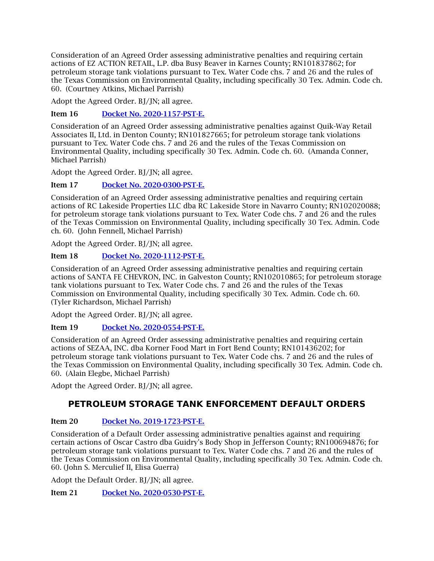Consideration of an Agreed Order assessing administrative penalties and requiring certain actions of EZ ACTION RETAIL, L.P. dba Busy Beaver in Karnes County; RN101837862; for petroleum storage tank violations pursuant to Tex. Water Code chs. 7 and 26 and the rules of the Texas Commission on Environmental Quality, including specifically 30 Tex. Admin. Code ch. 60. (Courtney Atkins, Michael Parrish)

Adopt the Agreed Order. BJ/JN; all agree.

Item 16 [Docket No. 2020-1157-PST-E.](http://www.tceq.texas.gov/assets/public/comm_exec/agendas/comm/backup/Agendas/2021/09-22-2021/1157PST.pdf)

Consideration of an Agreed Order assessing administrative penalties against Quik-Way Retail Associates II, Ltd. in Denton County; RN101827665; for petroleum storage tank violations pursuant to Tex. Water Code chs. 7 and 26 and the rules of the Texas Commission on Environmental Quality, including specifically 30 Tex. Admin. Code ch. 60. (Amanda Conner, Michael Parrish)

Adopt the Agreed Order. BJ/JN; all agree.

Item 17 [Docket No. 2020-0300-PST-E.](http://www.tceq.texas.gov/assets/public/comm_exec/agendas/comm/backup/Agendas/2021/09-22-2021/0300PST.pdf)

Consideration of an Agreed Order assessing administrative penalties and requiring certain actions of RC Lakeside Properties LLC dba RC Lakeside Store in Navarro County; RN102020088; for petroleum storage tank violations pursuant to Tex. Water Code chs. 7 and 26 and the rules of the Texas Commission on Environmental Quality, including specifically 30 Tex. Admin. Code ch. 60. (John Fennell, Michael Parrish)

Adopt the Agreed Order. BJ/JN; all agree.

## Item 18 [Docket No. 2020-1112-PST-E.](http://www.tceq.texas.gov/assets/public/comm_exec/agendas/comm/backup/Agendas/2021/09-22-2021/1112PST.pdf)

Consideration of an Agreed Order assessing administrative penalties and requiring certain actions of SANTA FE CHEVRON, INC. in Galveston County; RN102010865; for petroleum storage tank violations pursuant to Tex. Water Code chs. 7 and 26 and the rules of the Texas Commission on Environmental Quality, including specifically 30 Tex. Admin. Code ch. 60. (Tyler Richardson, Michael Parrish)

Adopt the Agreed Order. BJ/JN; all agree.

## Item 19 [Docket No. 2020-0554-PST-E.](http://www.tceq.texas.gov/assets/public/comm_exec/agendas/comm/backup/Agendas/2021/09-22-2021/0554PST.pdf)

Consideration of an Agreed Order assessing administrative penalties and requiring certain actions of SEZAA, INC. dba Korner Food Mart in Fort Bend County; RN101436202; for petroleum storage tank violations pursuant to Tex. Water Code chs. 7 and 26 and the rules of the Texas Commission on Environmental Quality, including specifically 30 Tex. Admin. Code ch. 60. (Alain Elegbe, Michael Parrish)

Adopt the Agreed Order. BJ/JN; all agree.

## **PETROLEUM STORAGE TANK ENFORCEMENT DEFAULT ORDERS**

## Item 20 [Docket No. 2019-1723-PST-E.](http://www.tceq.texas.gov/assets/public/comm_exec/agendas/comm/backup/Agendas/2021/09-22-2021/1723PST.pdf)

Consideration of a Default Order assessing administrative penalties against and requiring certain actions of Oscar Castro dba Guidry's Body Shop in Jefferson County; RN100694876; for petroleum storage tank violations pursuant to Tex. Water Code chs. 7 and 26 and the rules of the Texas Commission on Environmental Quality, including specifically 30 Tex. Admin. Code ch. 60. (John S. Merculief II, Elisa Guerra)

Adopt the Default Order. BJ/JN; all agree.

Item 21 [Docket No. 2020-0530-PST-E.](http://www.tceq.texas.gov/assets/public/comm_exec/agendas/comm/backup/Agendas/2021/09-22-2021/0530PST.pdf)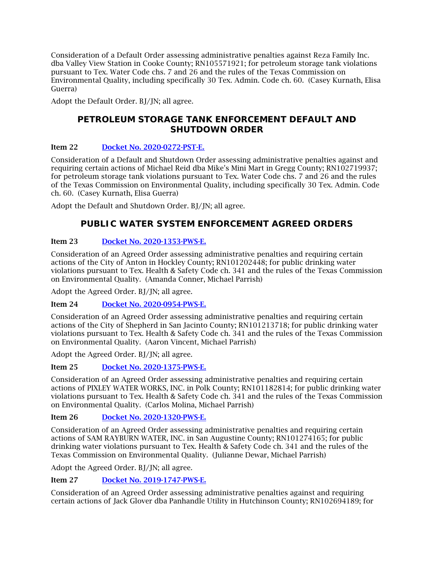Consideration of a Default Order assessing administrative penalties against Reza Family Inc. dba Valley View Station in Cooke County; RN105571921; for petroleum storage tank violations pursuant to Tex. Water Code chs. 7 and 26 and the rules of the Texas Commission on Environmental Quality, including specifically 30 Tex. Admin. Code ch. 60. (Casey Kurnath, Elisa Guerra)

Adopt the Default Order. BJ/JN; all agree.

## **PETROLEUM STORAGE TANK ENFORCEMENT DEFAULT AND SHUTDOWN ORDER**

## Item 22 [Docket No. 2020-0272-PST-E.](http://www.tceq.texas.gov/assets/public/comm_exec/agendas/comm/backup/Agendas/2021/09-22-2021/0272PST.pdf)

Consideration of a Default and Shutdown Order assessing administrative penalties against and requiring certain actions of Michael Reid dba Mike's Mini Mart in Gregg County; RN102719937; for petroleum storage tank violations pursuant to Tex. Water Code chs. 7 and 26 and the rules of the Texas Commission on Environmental Quality, including specifically 30 Tex. Admin. Code ch. 60. (Casey Kurnath, Elisa Guerra)

Adopt the Default and Shutdown Order. BJ/JN; all agree.

## **PUBLIC WATER SYSTEM ENFORCEMENT AGREED ORDERS**

## Item 23 [Docket No. 2020-1353-PWS-E.](http://www.tceq.texas.gov/assets/public/comm_exec/agendas/comm/backup/Agendas/2021/09-22-2021/1353PWS.pdf)

Consideration of an Agreed Order assessing administrative penalties and requiring certain actions of the City of Anton in Hockley County; RN101202448; for public drinking water violations pursuant to Tex. Health & Safety Code ch. 341 and the rules of the Texas Commission on Environmental Quality. (Amanda Conner, Michael Parrish)

Adopt the Agreed Order. BJ/JN; all agree.

Item 24 [Docket No. 2020-0954-PWS-E.](http://www.tceq.texas.gov/assets/public/comm_exec/agendas/comm/backup/Agendas/2021/09-22-2021/0954PWS.pdf)

Consideration of an Agreed Order assessing administrative penalties and requiring certain actions of the City of Shepherd in San Jacinto County; RN101213718; for public drinking water violations pursuant to Tex. Health & Safety Code ch. 341 and the rules of the Texas Commission on Environmental Quality. (Aaron Vincent, Michael Parrish)

Adopt the Agreed Order. BJ/JN; all agree.

Item 25 [Docket No. 2020-1375-PWS-E.](http://www.tceq.texas.gov/assets/public/comm_exec/agendas/comm/backup/Agendas/2021/09-22-2021/1375PWS.pdf)

Consideration of an Agreed Order assessing administrative penalties and requiring certain actions of PIXLEY WATER WORKS, INC. in Polk County; RN101182814; for public drinking water violations pursuant to Tex. Health & Safety Code ch. 341 and the rules of the Texas Commission on Environmental Quality. (Carlos Molina, Michael Parrish)

## Item 26 [Docket No. 2020-1320-PWS-E.](http://www.tceq.texas.gov/assets/public/comm_exec/agendas/comm/backup/Agendas/2021/09-22-2021/1320PWS.pdf)

Consideration of an Agreed Order assessing administrative penalties and requiring certain actions of SAM RAYBURN WATER, INC. in San Augustine County; RN101274165; for public drinking water violations pursuant to Tex. Health & Safety Code ch. 341 and the rules of the Texas Commission on Environmental Quality. (Julianne Dewar, Michael Parrish)

Adopt the Agreed Order. BJ/JN; all agree.

## Item 27 [Docket No. 2019-1747-PWS-E.](http://www.tceq.texas.gov/assets/public/comm_exec/agendas/comm/backup/Agendas/2021/09-22-2021/1747PWS.pdf)

Consideration of an Agreed Order assessing administrative penalties against and requiring certain actions of Jack Glover dba Panhandle Utility in Hutchinson County; RN102694189; for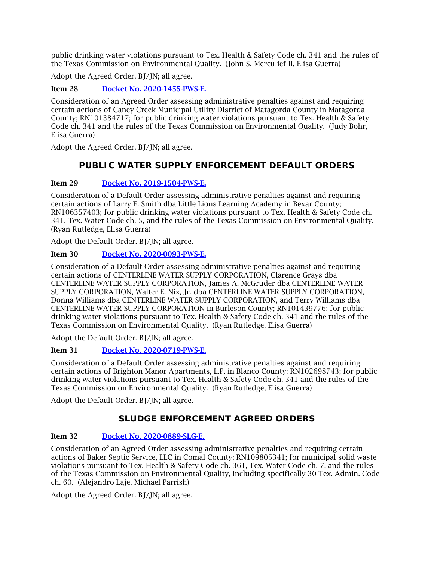public drinking water violations pursuant to Tex. Health & Safety Code ch. 341 and the rules of the Texas Commission on Environmental Quality. (John S. Merculief II, Elisa Guerra)

Adopt the Agreed Order. BJ/JN; all agree.

Item 28 [Docket No. 2020-1455-PWS-E.](http://www.tceq.texas.gov/assets/public/comm_exec/agendas/comm/backup/Agendas/2021/09-22-2021/1455PWS.pdf)

Consideration of an Agreed Order assessing administrative penalties against and requiring certain actions of Caney Creek Municipal Utility District of Matagorda County in Matagorda County; RN101384717; for public drinking water violations pursuant to Tex. Health & Safety Code ch. 341 and the rules of the Texas Commission on Environmental Quality. (Judy Bohr, Elisa Guerra)

Adopt the Agreed Order. BJ/JN; all agree.

## **PUBLIC WATER SUPPLY ENFORCEMENT DEFAULT ORDERS**

## Item 29 [Docket No. 2019-1504-PWS-E.](http://www.tceq.texas.gov/assets/public/comm_exec/agendas/comm/backup/Agendas/2021/09-22-2021/1504PWS.pdf)

Consideration of a Default Order assessing administrative penalties against and requiring certain actions of Larry E. Smith dba Little Lions Learning Academy in Bexar County; RN106357403; for public drinking water violations pursuant to Tex. Health & Safety Code ch. 341, Tex. Water Code ch. 5, and the rules of the Texas Commission on Environmental Quality. (Ryan Rutledge, Elisa Guerra)

Adopt the Default Order. BJ/JN; all agree.

## Item 30 [Docket No. 2020-0093-PWS-E.](http://www.tceq.texas.gov/assets/public/comm_exec/agendas/comm/backup/Agendas/2021/09-22-2021/0093PWS.pdf)

Consideration of a Default Order assessing administrative penalties against and requiring certain actions of CENTERLINE WATER SUPPLY CORPORATION, Clarence Grays dba CENTERLINE WATER SUPPLY CORPORATION, James A. McGruder dba CENTERLINE WATER SUPPLY CORPORATION, Walter E. Nix, Jr. dba CENTERLINE WATER SUPPLY CORPORATION, Donna Williams dba CENTERLINE WATER SUPPLY CORPORATION, and Terry Williams dba CENTERLINE WATER SUPPLY CORPORATION in Burleson County; RN101439776; for public drinking water violations pursuant to Tex. Health & Safety Code ch. 341 and the rules of the Texas Commission on Environmental Quality. (Ryan Rutledge, Elisa Guerra)

Adopt the Default Order. BJ/JN; all agree.

## Item 31 [Docket No. 2020-0719-PWS-E.](http://www.tceq.texas.gov/assets/public/comm_exec/agendas/comm/backup/Agendas/2021/09-22-2021/0719PWS.pdf)

Consideration of a Default Order assessing administrative penalties against and requiring certain actions of Brighton Manor Apartments, L.P. in Blanco County; RN102698743; for public drinking water violations pursuant to Tex. Health & Safety Code ch. 341 and the rules of the Texas Commission on Environmental Quality. (Ryan Rutledge, Elisa Guerra)

Adopt the Default Order. BJ/JN; all agree.

## **SLUDGE ENFORCEMENT AGREED ORDERS**

## Item 32 [Docket No. 2020-0889-SLG-E.](http://www.tceq.texas.gov/assets/public/comm_exec/agendas/comm/backup/Agendas/2021/09-22-2021/0889SLG.pdf)

Consideration of an Agreed Order assessing administrative penalties and requiring certain actions of Baker Septic Service, LLC in Comal County; RN109805341; for municipal solid waste violations pursuant to Tex. Health & Safety Code ch. 361, Tex. Water Code ch. 7, and the rules of the Texas Commission on Environmental Quality, including specifically 30 Tex. Admin. Code ch. 60. (Alejandro Laje, Michael Parrish)

Adopt the Agreed Order. BJ/JN; all agree.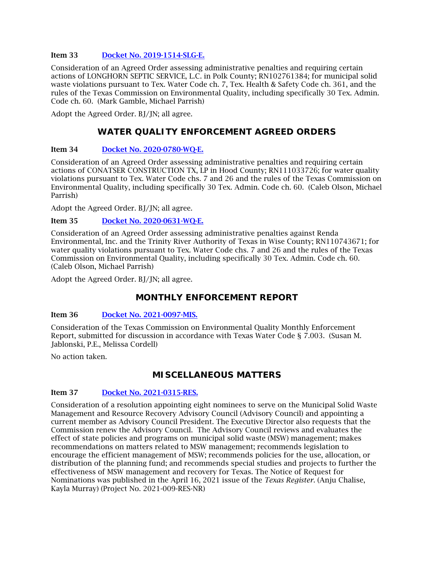#### Item 33 [Docket No. 2019-1514-SLG-E.](http://www.tceq.texas.gov/assets/public/comm_exec/agendas/comm/backup/Agendas/2021/09-22-2021/1514SLG.pdf)

Consideration of an Agreed Order assessing administrative penalties and requiring certain actions of LONGHORN SEPTIC SERVICE, L.C. in Polk County; RN102761384; for municipal solid waste violations pursuant to Tex. Water Code ch. 7, Tex. Health & Safety Code ch. 361, and the rules of the Texas Commission on Environmental Quality, including specifically 30 Tex. Admin. Code ch. 60. (Mark Gamble, Michael Parrish)

Adopt the Agreed Order. BJ/JN; all agree.

## **WATER QUALITY ENFORCEMENT AGREED ORDERS**

## Item 34 [Docket No. 2020-0780-WQ-E.](http://www.tceq.texas.gov/assets/public/comm_exec/agendas/comm/backup/Agendas/2021/09-22-2021/0780WQ.pdf)

Consideration of an Agreed Order assessing administrative penalties and requiring certain actions of CONATSER CONSTRUCTION TX, LP in Hood County; RN111033726; for water quality violations pursuant to Tex. Water Code chs. 7 and 26 and the rules of the Texas Commission on Environmental Quality, including specifically 30 Tex. Admin. Code ch. 60. (Caleb Olson, Michael Parrish)

Adopt the Agreed Order. BJ/JN; all agree.

## Item 35 [Docket No. 2020-0631-WQ-E.](http://www.tceq.texas.gov/assets/public/comm_exec/agendas/comm/backup/Agendas/2021/09-22-2021/0631WQ.pdf)

Consideration of an Agreed Order assessing administrative penalties against Renda Environmental, Inc. and the Trinity River Authority of Texas in Wise County; RN110743671; for water quality violations pursuant to Tex. Water Code chs. 7 and 26 and the rules of the Texas Commission on Environmental Quality, including specifically 30 Tex. Admin. Code ch. 60. (Caleb Olson, Michael Parrish)

Adopt the Agreed Order. BJ/JN; all agree.

## **MONTHLY ENFORCEMENT REPORT**

## Item 36 [Docket No. 2021-0097-MIS.](http://www.tceq.texas.gov/assets/public/comm_exec/agendas/comm/backup/Agendas/2021/09-22-2021/0097MIS.pdf)

Consideration of the Texas Commission on Environmental Quality Monthly Enforcement Report, submitted for discussion in accordance with Texas Water Code § 7.003. (Susan M. Jablonski, P.E., Melissa Cordell)

No action taken.

## **MISCELLANEOUS MATTERS**

## Item 37 [Docket No. 2021-0315-RES.](http://www.tceq.texas.gov/assets/public/comm_exec/agendas/comm/backup/Agendas/2021/09-22-2021/0315RES.pdf)

Consideration of a resolution appointing eight nominees to serve on the Municipal Solid Waste Management and Resource Recovery Advisory Council (Advisory Council) and appointing a current member as Advisory Council President. The Executive Director also requests that the Commission renew the Advisory Council. The Advisory Council reviews and evaluates the effect of state policies and programs on municipal solid waste (MSW) management; makes recommendations on matters related to MSW management; recommends legislation to encourage the efficient management of MSW; recommends policies for the use, allocation, or distribution of the planning fund; and recommends special studies and projects to further the effectiveness of MSW management and recovery for Texas. The Notice of Request for Nominations was published in the April 16, 2021 issue of the *Texas Register*. (Anju Chalise, Kayla Murray) (Project No. 2021-009-RES-NR)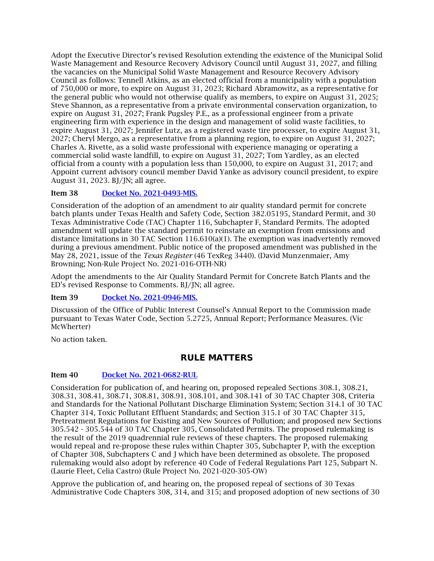Adopt the Executive Director's revised Resolution extending the existence of the Municipal Solid Waste Management and Resource Recovery Advisory Council until August 31, 2027, and filling the vacancies on the Municipal Solid Waste Management and Resource Recovery Advisory Council as follows: Tennell Atkins, as an elected official from a municipality with a population of 750,000 or more, to expire on August 31, 2023; Richard Abramowitz, as a representative for the general public who would not otherwise qualify as members, to expire on August 31, 2025; Steve Shannon, as a representative from a private environmental conservation organization, to expire on August 31, 2027; Frank Pugsley P.E., as a professional engineer from a private engineering firm with experience in the design and management of solid waste facilities, to expire August 31, 2027; Jennifer Lutz, as a registered waste tire processer, to expire August 31, 2027; Cheryl Mergo, as a representative from a planning region, to expire on August 31, 2027; Charles A. Rivette, as a solid waste professional with experience managing or operating a commercial solid waste landfill, to expire on August 31, 2027; Tom Yardley, as an elected official from a county with a population less than 150,000, to expire on August 31, 2017; and Appoint current advisory council member David Yanke as advisory council president, to expire August 31, 2023. BJ/JN; all agree.

## Item 38 [Docket No. 2021-0493-MIS.](http://www.tceq.texas.gov/assets/public/comm_exec/agendas/comm/backup/Agendas/2021/09-22-2021/0493MIS.pdf)

Consideration of the adoption of an amendment to air quality standard permit for concrete batch plants under Texas Health and Safety Code, Section 382.05195, Standard Permit, and 30 Texas Administrative Code (TAC) Chapter 116, Subchapter F, Standard Permits. The adopted amendment will update the standard permit to reinstate an exemption from emissions and distance limitations in 30 TAC Section 116.610(a)(1). The exemption was inadvertently removed during a previous amendment. Public notice of the proposed amendment was published in the May 28, 2021, issue of the *Texas Register* (46 TexReg 3440). (David Munzenmaier, Amy Browning; Non-Rule Project No. 2021-016-OTH-NR)

Adopt the amendments to the Air Quality Standard Permit for Concrete Batch Plants and the ED's revised Response to Comments. BJ/JN; all agree.

## Item 39 Docket No. [2021-0946-MIS.](http://www.tceq.texas.gov/assets/public/comm_exec/agendas/comm/backup/Agendas/2021/09-22-2021/0946MIS.pdf)

Discussion of the Office of Public Interest Counsel's Annual Report to the Commission made pursuant to Texas Water Code, Section 5.2725, Annual Report; Performance Measures. (Vic McWherter)

No action taken.

## **RULE MATTERS**

## Item 40 [Docket No. 2021-0682-RUL](http://www.tceq.texas.gov/assets/public/comm_exec/agendas/comm/backup/Agendas/2021/09-22-2021/0682RUL.pdf)

Consideration for publication of, and hearing on, proposed repealed Sections 308.1, 308.21, 308.31, 308.41, 308.71, 308.81, 308.91, 308.101, and 308.141 of 30 TAC Chapter 308, Criteria and Standards for the National Pollutant Discharge Elimination System; Section 314.1 of 30 TAC Chapter 314, Toxic Pollutant Effluent Standards; and Section 315.1 of 30 TAC Chapter 315, Pretreatment Regulations for Existing and New Sources of Pollution; and proposed new Sections 305.542 - 305.544 of 30 TAC Chapter 305, Consolidated Permits. The proposed rulemaking is the result of the 2019 quadrennial rule reviews of these chapters. The proposed rulemaking would repeal and re-propose these rules within Chapter 305, Subchapter P, with the exception of Chapter 308, Subchapters C and J which have been determined as obsolete. The proposed rulemaking would also adopt by reference 40 Code of Federal Regulations Part 125, Subpart N. (Laurie Fleet, Celia Castro) (Rule Project No. 2021-020-305-OW)

Approve the publication of, and hearing on, the proposed repeal of sections of 30 Texas Administrative Code Chapters 308, 314, and 315; and proposed adoption of new sections of 30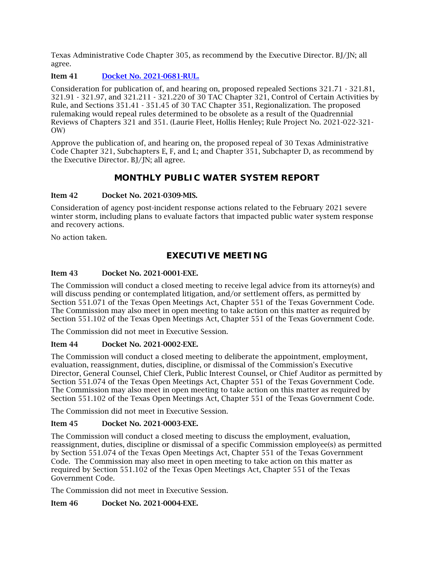Texas Administrative Code Chapter 305, as recommend by the Executive Director. BJ/JN; all agree.

Item 41 Docket No. [2021-0681-RUL.](http://www.tceq.texas.gov/assets/public/comm_exec/agendas/comm/backup/Agendas/2021/09-22-2021/0681RUL.pdf)

Consideration for publication of, and hearing on, proposed repealed Sections 321.71 - 321.81, 321.91 - 321.97, and 321.211 - 321.220 of 30 TAC Chapter 321, Control of Certain Activities by Rule, and Sections 351.41 - 351.45 of 30 TAC Chapter 351, Regionalization. The proposed rulemaking would repeal rules determined to be obsolete as a result of the Quadrennial Reviews of Chapters 321 and 351. (Laurie Fleet, Hollis Henley; Rule Project No. 2021-022-321- OW)

Approve the publication of, and hearing on, the proposed repeal of 30 Texas Administrative Code Chapter 321, Subchapters E, F, and L; and Chapter 351, Subchapter D, as recommend by the Executive Director. BJ/JN; all agree.

## **MONTHLY PUBLIC WATER SYSTEM REPORT**

#### Item 42 Docket No. 2021-0309-MIS.

Consideration of agency post-incident response actions related to the February 2021 severe winter storm, including plans to evaluate factors that impacted public water system response and recovery actions.

No action taken.

## **EXECUTIVE MEETING**

## Item 43 Docket No. 2021-0001-EXE.

The Commission will conduct a closed meeting to receive legal advice from its attorney(s) and will discuss pending or contemplated litigation, and/or settlement offers, as permitted by Section 551.071 of the Texas Open Meetings Act, Chapter 551 of the Texas Government Code. The Commission may also meet in open meeting to take action on this matter as required by Section 551.102 of the Texas Open Meetings Act, Chapter 551 of the Texas Government Code.

The Commission did not meet in Executive Session.

## Item 44 Docket No. 2021-0002-EXE.

The Commission will conduct a closed meeting to deliberate the appointment, employment, evaluation, reassignment, duties, discipline, or dismissal of the Commission's Executive Director, General Counsel, Chief Clerk, Public Interest Counsel, or Chief Auditor as permitted by Section 551.074 of the Texas Open Meetings Act, Chapter 551 of the Texas Government Code. The Commission may also meet in open meeting to take action on this matter as required by Section 551.102 of the Texas Open Meetings Act, Chapter 551 of the Texas Government Code.

The Commission did not meet in Executive Session.

#### Item 45 Docket No. 2021-0003-EXE.

The Commission will conduct a closed meeting to discuss the employment, evaluation, reassignment, duties, discipline or dismissal of a specific Commission employee(s) as permitted by Section 551.074 of the Texas Open Meetings Act, Chapter 551 of the Texas Government Code. The Commission may also meet in open meeting to take action on this matter as required by Section 551.102 of the Texas Open Meetings Act, Chapter 551 of the Texas Government Code.

The Commission did not meet in Executive Session.

## Item 46 Docket No. 2021-0004-EXE.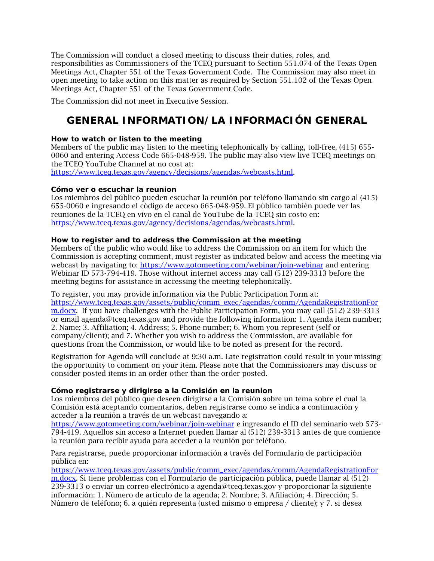The Commission will conduct a closed meeting to discuss their duties, roles, and responsibilities as Commissioners of the TCEQ pursuant to Section 551.074 of the Texas Open Meetings Act, Chapter 551 of the Texas Government Code. The Commission may also meet in open meeting to take action on this matter as required by Section 551.102 of the Texas Open Meetings Act, Chapter 551 of the Texas Government Code.

The Commission did not meet in Executive Session.

# **GENERAL INFORMATION/LA INFORMACIÓN GENERAL**

### **How to watch or listen to the meeting**

Members of the public may listen to the meeting telephonically by calling, toll-free, (415) 655- 0060 and entering Access Code 665-048-959. The public may also view live TCEQ meetings on the TCEQ YouTube Channel at no cost at:

[https://www.tceq.texas.gov/agency/decisions/agendas/webcasts.html.](https://www.tceq.texas.gov/agency/decisions/agendas/webcasts.html)

### **Cómo ver o escuchar la reunion**

Los miembros del público pueden escuchar la reunión por teléfono llamando sin cargo al (415) 655-0060 e ingresando el código de acceso 665-048-959. El público también puede ver las reuniones de la TCEQ en vivo en el canal de YouTube de la TCEQ sin costo en: [https://www.tceq.texas.gov/agency/decisions/agendas/webcasts.html.](https://www.tceq.texas.gov/agency/decisions/agendas/webcasts.html)

## **How to register and to address the Commission at the meeting**

Members of the public who would like to address the Commission on an item for which the Commission is accepting comment, must register as indicated below and access the meeting via webcast by navigating to:<https://www.gotomeeting.com/webinar/join-webinar> and entering Webinar ID 573-794-419. Those without internet access may call (512) 239-3313 before the meeting begins for assistance in accessing the meeting telephonically.

#### To register, you may provide information via the Public Participation Form at:

[https://www.tceq.texas.gov/assets/public/comm\\_exec/agendas/comm/AgendaRegistrationFor](https://www.tceq.texas.gov/assets/public/comm_exec/agendas/comm/AgendaRegistrationForm.docx) [m.docx.](https://www.tceq.texas.gov/assets/public/comm_exec/agendas/comm/AgendaRegistrationForm.docx) If you have challenges with the Public Participation Form, you may call (512) 239-3313 or email agenda@tceq.texas.gov and provide the following information: 1. Agenda item number; 2. Name; 3. Affiliation; 4. Address; 5. Phone number; 6. Whom you represent (self or company/client); and 7. Whether you wish to address the Commission, are available for questions from the Commission, or would like to be noted as present for the record.

Registration for Agenda will conclude at 9:30 a.m. Late registration could result in your missing the opportunity to comment on your item. Please note that the Commissioners may discuss or consider posted items in an order other than the order posted.

## **Cómo registrarse y dirigirse a la Comisión en la reunion**

Los miembros del público que deseen dirigirse a la Comisión sobre un tema sobre el cual la Comisión está aceptando comentarios, deben registrarse como se indica a continuación y acceder a la reunión a través de un webcast navegando a:

<https://www.gotomeeting.com/webinar/join-webinar> e ingresando el ID del seminario web 573- 794-419. Aquellos sin acceso a Internet pueden llamar al (512) 239-3313 antes de que comience la reunión para recibir ayuda para acceder a la reunión por teléfono.

Para registrarse, puede proporcionar información a través del Formulario de participación pública en:

[https://www.tceq.texas.gov/assets/public/comm\\_exec/agendas/comm/AgendaRegistrationFor](https://www.tceq.texas.gov/assets/public/comm_exec/agendas/comm/AgendaRegistrationForm.docx) [m.docx.](https://www.tceq.texas.gov/assets/public/comm_exec/agendas/comm/AgendaRegistrationForm.docx) Si tiene problemas con el Formulario de participación pública, puede llamar al (512) 239-3313 o enviar un correo electrónico a agenda@tceq.texas.gov y proporcionar la siguiente información: 1. Número de artículo de la agenda; 2. Nombre; 3. Afiliación; 4. Dirección; 5. Número de teléfono; 6. a quién representa (usted mismo o empresa / cliente); y 7. si desea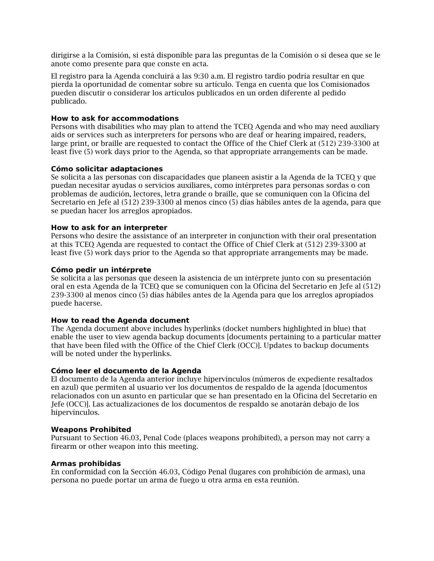dirigirse a la Comisión, si está disponible para las preguntas de la Comisión o si desea que se le anote como presente para que conste en acta.

El registro para la Agenda concluirá a las 9:30 a.m. El registro tardío podría resultar en que pierda la oportunidad de comentar sobre su artículo. Tenga en cuenta que los Comisionados pueden discutir o considerar los artículos publicados en un orden diferente al pedido publicado.

#### **How to ask for accommodations**

Persons with disabilities who may plan to attend the TCEQ Agenda and who may need auxiliary aids or services such as interpreters for persons who are deaf or hearing impaired, readers, large print, or braille are requested to contact the Office of the Chief Clerk at (512) 239-3300 at least five (5) work days prior to the Agenda, so that appropriate arrangements can be made.

#### **Cómo solicitar adaptaciones**

Se solicita a las personas con discapacidades que planeen asistir a la Agenda de la TCEQ y que puedan necesitar ayudas o servicios auxiliares, como intérpretes para personas sordas o con problemas de audición, lectores, letra grande o braille, que se comuniquen con la Oficina del Secretario en Jefe al (512) 239-3300 al menos cinco (5) días hábiles antes de la agenda, para que se puedan hacer los arreglos apropiados.

#### **How to ask for an interpreter**

Persons who desire the assistance of an interpreter in conjunction with their oral presentation at this TCEQ Agenda are requested to contact the Office of Chief Clerk at (512) 239-3300 at least five (5) work days prior to the Agenda so that appropriate arrangements may be made.

#### **Cómo pedir un intérprete**

Se solicita a las personas que deseen la asistencia de un intérprete junto con su presentación oral en esta Agenda de la TCEQ que se comuniquen con la Oficina del Secretario en Jefe al (512) 239-3300 al menos cinco (5) días hábiles antes de la Agenda para que los arreglos apropiados puede hacerse.

#### **How to read the Agenda document**

The Agenda document above includes hyperlinks (docket numbers highlighted in blue) that enable the user to view agenda backup documents [documents pertaining to a particular matter that have been filed with the Office of the Chief Clerk (OCC)]. Updates to backup documents will be noted under the hyperlinks.

#### **Cómo leer el documento de la Agenda**

El documento de la Agenda anterior incluye hipervínculos (números de expediente resaltados en azul) que permiten al usuario ver los documentos de respaldo de la agenda [documentos relacionados con un asunto en particular que se han presentado en la Oficina del Secretario en Jefe (OCC)]. Las actualizaciones de los documentos de respaldo se anotarán debajo de los hipervínculos.

#### **Weapons Prohibited**

Pursuant to Section 46.03, Penal Code (places weapons prohibited), a person may not carry a firearm or other weapon into this meeting.

#### **Armas prohibidas**

En conformidad con la Sección 46.03, Código Penal (lugares con prohibición de armas), una persona no puede portar un arma de fuego u otra arma en esta reunión.